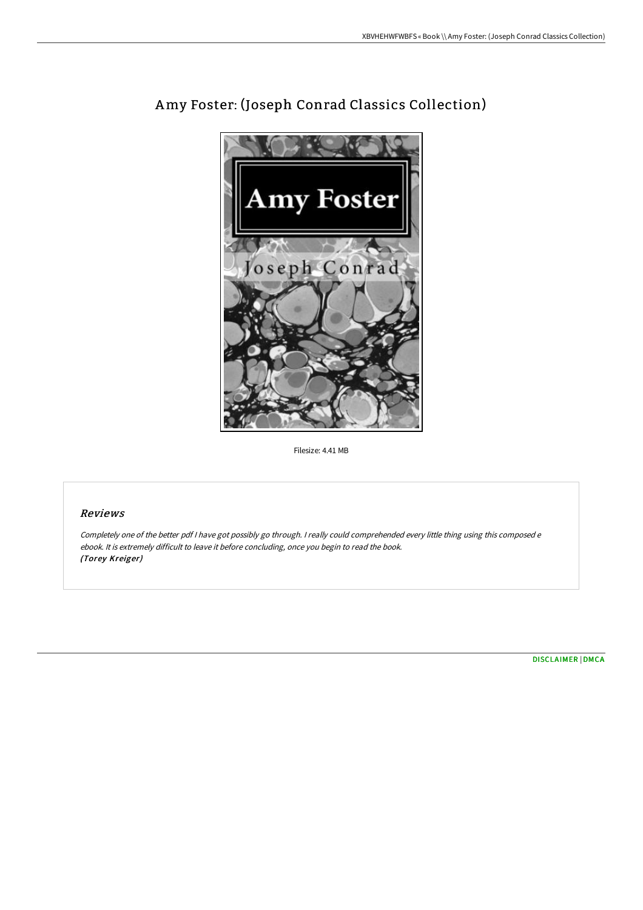

## Amy Foster: (Joseph Conrad Classics Collection)

Filesize: 4.41 MB

## Reviews

Completely one of the better pdf <sup>I</sup> have got possibly go through. <sup>I</sup> really could comprehended every little thing using this composed <sup>e</sup> ebook. It is extremely difficult to leave it before concluding, once you begin to read the book. (Torey Kreiger)

[DISCLAIMER](http://techno-pub.tech/disclaimer.html) | [DMCA](http://techno-pub.tech/dmca.html)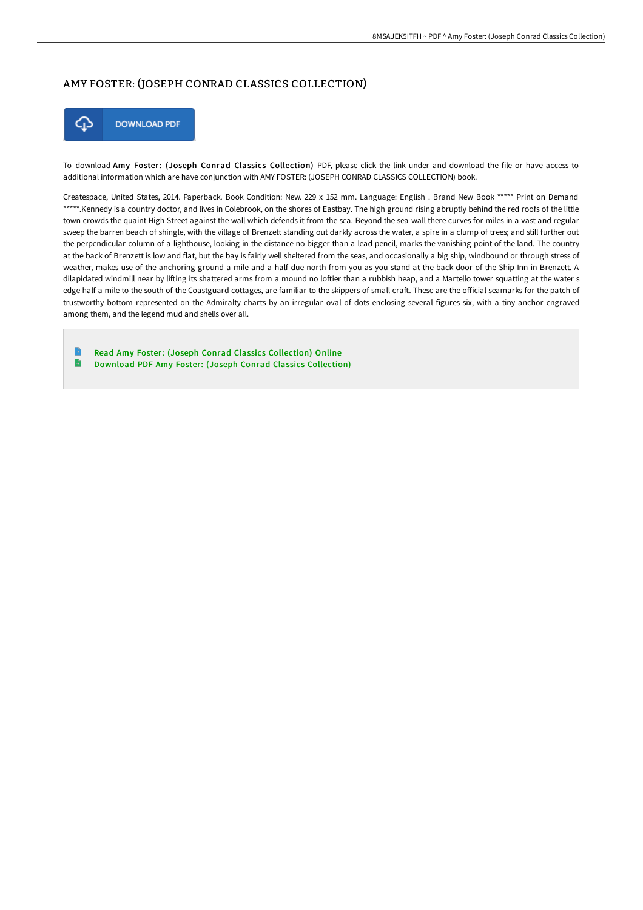## AMY FOSTER: (JOSEPH CONRAD CLASSICS COLLECTION)



To download Amy Foster: (Joseph Conrad Classics Collection) PDF, please click the link under and download the file or have access to additional information which are have conjunction with AMY FOSTER: (JOSEPH CONRAD CLASSICS COLLECTION) book.

Createspace, United States, 2014. Paperback. Book Condition: New. 229 x 152 mm. Language: English . Brand New Book \*\*\*\*\* Print on Demand \*\*\*\*\*.Kennedy is a country doctor, and lives in Colebrook, on the shores of Eastbay. The high ground rising abruptly behind the red roofs of the little town crowds the quaint High Street against the wall which defends it from the sea. Beyond the sea-wall there curves for miles in a vast and regular sweep the barren beach of shingle, with the village of Brenzett standing out darkly across the water, a spire in a clump of trees; and still further out the perpendicular column of a lighthouse, looking in the distance no bigger than a lead pencil, marks the vanishing-point of the land. The country at the back of Brenzett is low and flat, but the bay is fairly well sheltered from the seas, and occasionally a big ship, windbound or through stress of weather, makes use of the anchoring ground a mile and a half due north from you as you stand at the back door of the Ship Inn in Brenzett. A dilapidated windmill near by lifting its shattered arms from a mound no loftier than a rubbish heap, and a Martello tower squatting at the water s edge half a mile to the south of the Coastguard cottages, are familiar to the skippers of small craft. These are the official seamarks for the patch of trustworthy bottom represented on the Admiralty charts by an irregular oval of dots enclosing several figures six, with a tiny anchor engraved among them, and the legend mud and shells over all.

Read Amy Foster: (Joseph Conrad Classics [Collection\)](http://techno-pub.tech/amy-foster-joseph-conrad-classics-collection-pap.html) Online  $\blacktriangleright$ Download PDF Amy Foster: (Joseph Conrad Classics [Collection\)](http://techno-pub.tech/amy-foster-joseph-conrad-classics-collection-pap.html)